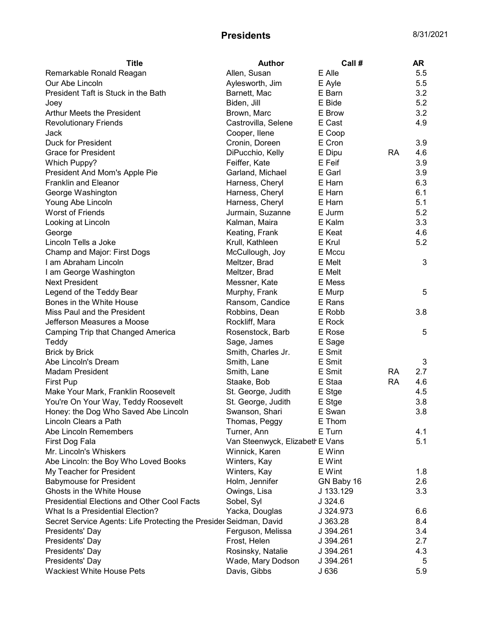| <b>Title</b>                                                       | <b>Author</b>                   | Call#      |           | AR  |
|--------------------------------------------------------------------|---------------------------------|------------|-----------|-----|
| Remarkable Ronald Reagan                                           | Allen, Susan                    | E Alle     |           | 5.5 |
| Our Abe Lincoln                                                    | Aylesworth, Jim                 | E Ayle     |           | 5.5 |
| President Taft is Stuck in the Bath                                | Barnett, Mac                    | E Barn     |           | 3.2 |
| Joey                                                               | Biden, Jill                     | E Bide     |           | 5.2 |
| Arthur Meets the President                                         | Brown, Marc                     | E Brow     |           | 3.2 |
| <b>Revolutionary Friends</b>                                       | Castrovilla, Selene             | E Cast     |           | 4.9 |
| Jack                                                               | Cooper, Ilene                   | E Coop     |           |     |
| <b>Duck for President</b>                                          | Cronin, Doreen                  | E Cron     |           | 3.9 |
| <b>Grace for President</b>                                         | DiPucchio, Kelly                | E Dipu     | RA        | 4.6 |
| Which Puppy?                                                       | Feiffer, Kate                   | E Feif     |           | 3.9 |
| President And Mom's Apple Pie                                      | Garland, Michael                | E Garl     |           | 3.9 |
| <b>Franklin and Eleanor</b>                                        | Harness, Cheryl                 | E Harn     |           | 6.3 |
| George Washington                                                  | Harness, Cheryl                 | E Harn     |           | 6.1 |
| Young Abe Lincoln                                                  | Harness, Cheryl                 | E Harn     |           | 5.1 |
| <b>Worst of Friends</b>                                            | Jurmain, Suzanne                | E Jurm     |           | 5.2 |
| Looking at Lincoln                                                 | Kalman, Maira                   | E Kalm     |           | 3.3 |
| George                                                             | Keating, Frank                  | E Keat     |           | 4.6 |
| Lincoln Tells a Joke                                               | Krull, Kathleen                 | E Krul     |           | 5.2 |
| Champ and Major: First Dogs                                        | McCullough, Joy                 | E Mccu     |           |     |
| I am Abraham Lincoln                                               | Meltzer, Brad                   | E Melt     |           | 3   |
| I am George Washington                                             | Meltzer, Brad                   | E Melt     |           |     |
| <b>Next President</b>                                              | Messner, Kate                   | E Mess     |           |     |
| Legend of the Teddy Bear                                           | Murphy, Frank                   | E Murp     |           | 5   |
| Bones in the White House                                           | Ransom, Candice                 | E Rans     |           |     |
| Miss Paul and the President                                        | Robbins, Dean                   | E Robb     |           | 3.8 |
| Jefferson Measures a Moose                                         | Rockliff, Mara                  | E Rock     |           |     |
| Camping Trip that Changed America                                  | Rosenstock, Barb                | E Rose     |           | 5   |
| Teddy                                                              | Sage, James                     | E Sage     |           |     |
| <b>Brick by Brick</b>                                              | Smith, Charles Jr.              | E Smit     |           |     |
| Abe Lincoln's Dream                                                | Smith, Lane                     | E Smit     |           | 3   |
| <b>Madam President</b>                                             | Smith, Lane                     | E Smit     | RA        | 2.7 |
| <b>First Pup</b>                                                   | Staake, Bob                     | E Staa     | <b>RA</b> | 4.6 |
| Make Your Mark, Franklin Roosevelt                                 | St. George, Judith              | E Stge     |           | 4.5 |
| You're On Your Way, Teddy Roosevelt                                | St. George, Judith              | E Stge     |           | 3.8 |
| Honey: the Dog Who Saved Abe Lincoln                               | Swanson, Shari                  | E Swan     |           | 3.8 |
| Lincoln Clears a Path                                              | Thomas, Peggy                   | E Thom     |           |     |
| Abe Lincoln Remembers                                              | Turner, Ann                     | E Turn     |           | 4.1 |
| First Dog Fala                                                     | Van Steenwyck, Elizabeth E Vans |            |           | 5.1 |
| Mr. Lincoln's Whiskers                                             | Winnick, Karen                  | E Winn     |           |     |
| Abe Lincoln: the Boy Who Loved Books                               | Winters, Kay                    | E Wint     |           |     |
| My Teacher for President                                           | Winters, Kay                    | E Wint     |           | 1.8 |
| <b>Babymouse for President</b>                                     | Holm, Jennifer                  | GN Baby 16 |           | 2.6 |
| Ghosts in the White House                                          | Owings, Lisa                    | J 133.129  |           | 3.3 |
| <b>Presidential Elections and Other Cool Facts</b>                 | Sobel, Syl                      | J.324.6    |           |     |
| What Is a Presidential Election?                                   | Yacka, Douglas                  | J 324.973  |           | 6.6 |
| Secret Service Agents: Life Protecting the Presider Seidman, David |                                 | J 363.28   |           | 8.4 |
| Presidents' Day                                                    | Ferguson, Melissa               | J 394.261  |           | 3.4 |
| Presidents' Day                                                    | Frost, Helen                    | J 394.261  |           | 2.7 |
| Presidents' Day                                                    | Rosinsky, Natalie               | J 394.261  |           | 4.3 |
| Presidents' Day                                                    | Wade, Mary Dodson               | J 394.261  |           | 5   |
| <b>Wackiest White House Pets</b>                                   | Davis, Gibbs                    | J 636      |           | 5.9 |
|                                                                    |                                 |            |           |     |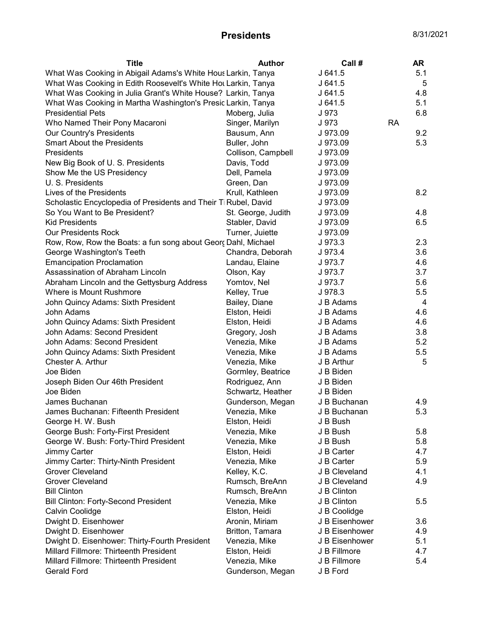| <b>Title</b>                                                    | <b>Author</b>      | Call#          |           | <b>AR</b> |
|-----------------------------------------------------------------|--------------------|----------------|-----------|-----------|
| What Was Cooking in Abigail Adams's White Hous Larkin, Tanya    |                    | J641.5         |           | 5.1       |
| What Was Cooking in Edith Roosevelt's White Hot Larkin, Tanya   |                    | J641.5         |           | 5         |
| What Was Cooking in Julia Grant's White House? Larkin, Tanya    |                    | J 641.5        |           | 4.8       |
| What Was Cooking in Martha Washington's Presid Larkin, Tanya    |                    | J 641.5        |           | 5.1       |
| <b>Presidential Pets</b>                                        | Moberg, Julia      | J 973          |           | 6.8       |
| Who Named Their Pony Macaroni                                   | Singer, Marilyn    | J 973          | <b>RA</b> |           |
| Our Country's Presidents                                        | Bausum, Ann        | J 973.09       |           | 9.2       |
| <b>Smart About the Presidents</b>                               | Buller, John       | J 973.09       |           | 5.3       |
| Presidents                                                      | Collison, Campbell | J 973.09       |           |           |
| New Big Book of U. S. Presidents                                | Davis, Todd        | J 973.09       |           |           |
| Show Me the US Presidency                                       | Dell, Pamela       | J 973.09       |           |           |
| U. S. Presidents                                                | Green, Dan         | J 973.09       |           |           |
| Lives of the Presidents                                         | Krull, Kathleen    | J 973.09       |           | 8.2       |
| Scholastic Encyclopedia of Presidents and Their Ti Rubel, David |                    | J 973.09       |           |           |
| So You Want to Be President?                                    | St. George, Judith | J 973.09       |           | 4.8       |
| <b>Kid Presidents</b>                                           | Stabler, David     | J 973.09       |           | 6.5       |
| <b>Our Presidents Rock</b>                                      | Turner, Juiette    | J 973.09       |           |           |
| Row, Row, Row the Boats: a fun song about Georç Dahl, Michael   |                    | J 973.3        |           | 2.3       |
| George Washington's Teeth                                       | Chandra, Deborah   | J 973.4        |           | 3.6       |
| <b>Emancipation Proclamation</b>                                | Landau, Elaine     | J 973.7        |           | 4.6       |
| Assassination of Abraham Lincoln                                | Olson, Kay         | J 973.7        |           | 3.7       |
| Abraham Lincoln and the Gettysburg Address                      | Yomtov, Nel        | J 973.7        |           | 5.6       |
| Where is Mount Rushmore                                         | Kelley, True       | J 978.3        |           | 5.5       |
| John Quincy Adams: Sixth President                              | Bailey, Diane      | J B Adams      |           | 4         |
| John Adams                                                      | Elston, Heidi      | J B Adams      |           | 4.6       |
| John Quincy Adams: Sixth President                              | Elston, Heidi      | J B Adams      |           | 4.6       |
| John Adams: Second President                                    | Gregory, Josh      | J B Adams      |           | 3.8       |
| John Adams: Second President                                    | Venezia, Mike      | J B Adams      |           | 5.2       |
| John Quincy Adams: Sixth President                              | Venezia, Mike      | J B Adams      |           | 5.5       |
| Chester A. Arthur                                               | Venezia, Mike      | J B Arthur     |           | 5         |
| Joe Biden                                                       | Gormley, Beatrice  | J B Biden      |           |           |
| Joseph Biden Our 46th President                                 | Rodriguez, Ann     | J B Biden      |           |           |
| Joe Biden                                                       | Schwartz, Heather  | J B Biden      |           |           |
| James Buchanan                                                  | Gunderson, Megan   | J B Buchanan   |           | 4.9       |
| James Buchanan: Fifteenth President                             | Venezia, Mike      | J B Buchanan   |           | 5.3       |
| George H. W. Bush                                               | Elston, Heidi      | J B Bush       |           |           |
| George Bush: Forty-First President                              | Venezia, Mike      | J B Bush       |           | 5.8       |
| George W. Bush: Forty-Third President                           | Venezia, Mike      | J B Bush       |           | 5.8       |
| Jimmy Carter                                                    | Elston, Heidi      | J B Carter     |           | 4.7       |
| Jimmy Carter: Thirty-Ninth President                            | Venezia, Mike      | J B Carter     |           | 5.9       |
| <b>Grover Cleveland</b>                                         | Kelley, K.C.       | J B Cleveland  |           | 4.1       |
| <b>Grover Cleveland</b>                                         | Rumsch, BreAnn     | J B Cleveland  |           | 4.9       |
| <b>Bill Clinton</b>                                             | Rumsch, BreAnn     | J B Clinton    |           |           |
| <b>Bill Clinton: Forty-Second President</b>                     | Venezia, Mike      | J B Clinton    |           | 5.5       |
| Calvin Coolidge                                                 | Elston, Heidi      | J B Coolidge   |           |           |
| Dwight D. Eisenhower                                            | Aronin, Miriam     | J B Eisenhower |           | 3.6       |
| Dwight D. Eisenhower                                            | Britton, Tamara    | J B Eisenhower |           | 4.9       |
| Dwight D. Eisenhower: Thirty-Fourth President                   | Venezia, Mike      | J B Eisenhower |           | 5.1       |
| Millard Fillmore: Thirteenth President                          | Elston, Heidi      | J B Fillmore   |           | 4.7       |
| Millard Fillmore: Thirteenth President                          | Venezia, Mike      | J B Fillmore   |           | 5.4       |
| Gerald Ford                                                     | Gunderson, Megan   | J B Ford       |           |           |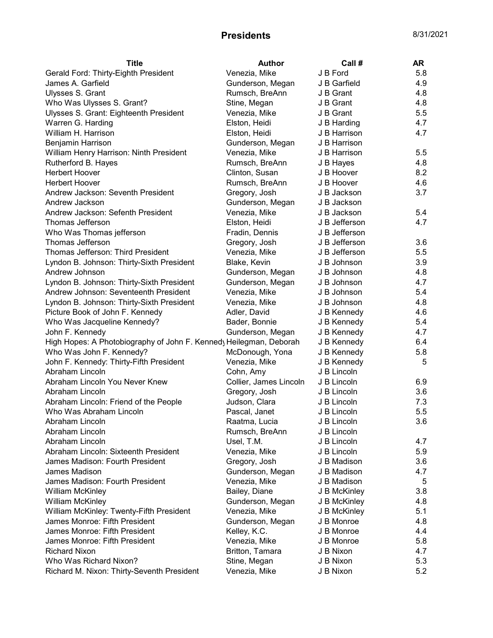| <b>Title</b>                                                      | <b>Author</b>          | Call #        | AR  |
|-------------------------------------------------------------------|------------------------|---------------|-----|
| Gerald Ford: Thirty-Eighth President                              | Venezia, Mike          | J B Ford      | 5.8 |
| James A. Garfield                                                 | Gunderson, Megan       | J B Garfield  | 4.9 |
| Ulysses S. Grant                                                  | Rumsch, BreAnn         | J B Grant     | 4.8 |
| Who Was Ulysses S. Grant?                                         | Stine, Megan           | J B Grant     | 4.8 |
| Ulysses S. Grant: Eighteenth President                            | Venezia, Mike          | J B Grant     | 5.5 |
| Warren G. Harding                                                 | Elston, Heidi          | J B Harding   | 4.7 |
| William H. Harrison                                               | Elston, Heidi          | J B Harrison  | 4.7 |
| Benjamin Harrison                                                 | Gunderson, Megan       | J B Harrison  |     |
| William Henry Harrison: Ninth President                           | Venezia, Mike          | J B Harrison  | 5.5 |
| Rutherford B. Hayes                                               | Rumsch, BreAnn         | J B Hayes     | 4.8 |
| <b>Herbert Hoover</b>                                             | Clinton, Susan         | J B Hoover    | 8.2 |
| <b>Herbert Hoover</b>                                             | Rumsch, BreAnn         | J B Hoover    | 4.6 |
| Andrew Jackson: Seventh President                                 | Gregory, Josh          | J B Jackson   | 3.7 |
| Andrew Jackson                                                    | Gunderson, Megan       | J B Jackson   |     |
| Andrew Jackson: Sefenth President                                 | Venezia, Mike          | J B Jackson   | 5.4 |
| Thomas Jefferson                                                  | Elston, Heidi          | J B Jefferson | 4.7 |
| Who Was Thomas jefferson                                          | Fradin, Dennis         | J B Jefferson |     |
| Thomas Jefferson                                                  | Gregory, Josh          | J B Jefferson | 3.6 |
| Thomas Jefferson: Third President                                 | Venezia, Mike          | J B Jefferson | 5.5 |
| Lyndon B. Johnson: Thirty-Sixth President                         | Blake, Kevin           | J B Johnson   | 3.9 |
| Andrew Johnson                                                    | Gunderson, Megan       | J B Johnson   | 4.8 |
| Lyndon B. Johnson: Thirty-Sixth President                         | Gunderson, Megan       | J B Johnson   | 4.7 |
| Andrew Johnson: Seventeenth President                             | Venezia, Mike          | J B Johnson   | 5.4 |
| Lyndon B. Johnson: Thirty-Sixth President                         | Venezia, Mike          | J B Johnson   | 4.8 |
| Picture Book of John F. Kennedy                                   | Adler, David           | J B Kennedy   | 4.6 |
| Who Was Jacqueline Kennedy?                                       | Bader, Bonnie          | J B Kennedy   | 5.4 |
| John F. Kennedy                                                   | Gunderson, Megan       | J B Kennedy   | 4.7 |
| High Hopes: A Photobiography of John F. Kenned Heilegman, Deborah |                        | J B Kennedy   | 6.4 |
| Who Was John F. Kennedy?                                          | McDonough, Yona        | J B Kennedy   | 5.8 |
| John F. Kennedy: Thirty-Fifth President                           | Venezia, Mike          | J B Kennedy   | 5   |
| Abraham Lincoln                                                   | Cohn, Amy              | J B Lincoln   |     |
| Abraham Lincoln You Never Knew                                    | Collier, James Lincoln | J B Lincoln   | 6.9 |
| Abraham Lincoln                                                   | Gregory, Josh          | J B Lincoln   | 3.6 |
| Abraham Lincoln: Friend of the People                             | Judson, Clara          | J B Lincoln   | 7.3 |
| Who Was Abraham Lincoln                                           | Pascal, Janet          | J B Lincoln   | 5.5 |
| Abraham Lincoln                                                   | Raatma, Lucia          | J B Lincoln   | 3.6 |
| Abraham Lincoln                                                   | Rumsch, BreAnn         | J B Lincoln   |     |
| Abraham Lincoln                                                   | Usel, T.M.             | J B Lincoln   | 4.7 |
| Abraham Lincoln: Sixteenth President                              | Venezia, Mike          | J B Lincoln   | 5.9 |
| James Madison: Fourth President                                   | Gregory, Josh          | J B Madison   | 3.6 |
| James Madison                                                     | Gunderson, Megan       | J B Madison   | 4.7 |
| James Madison: Fourth President                                   | Venezia, Mike          | J B Madison   | 5   |
| <b>William McKinley</b>                                           | Bailey, Diane          | J B McKinley  | 3.8 |
| William McKinley                                                  | Gunderson, Megan       | J B McKinley  | 4.8 |
| William McKinley: Twenty-Fifth President                          | Venezia, Mike          | J B McKinley  | 5.1 |
| James Monroe: Fifth President                                     | Gunderson, Megan       | J B Monroe    | 4.8 |
| James Monroe: Fifth President                                     | Kelley, K.C.           | J B Monroe    | 4.4 |
| James Monroe: Fifth President                                     | Venezia, Mike          | J B Monroe    | 5.8 |
| <b>Richard Nixon</b>                                              | Britton, Tamara        | J B Nixon     | 4.7 |
| Who Was Richard Nixon?                                            | Stine, Megan           | J B Nixon     | 5.3 |
| Richard M. Nixon: Thirty-Seventh President                        | Venezia, Mike          | J B Nixon     | 5.2 |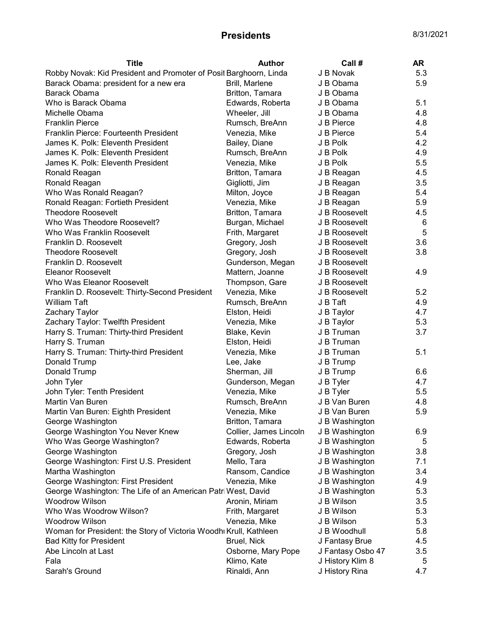| <b>Title</b>                                                      | <b>Author</b>          | Call #            | AR  |
|-------------------------------------------------------------------|------------------------|-------------------|-----|
| Robby Novak: Kid President and Promoter of Posit Barghoorn, Linda |                        | J B Novak         | 5.3 |
| Barack Obama: president for a new era                             | Brill, Marlene         | J B Obama         | 5.9 |
| Barack Obama                                                      | Britton, Tamara        | J B Obama         |     |
| Who is Barack Obama                                               | Edwards, Roberta       | J B Obama         | 5.1 |
| Michelle Obama                                                    | Wheeler, Jill          | J B Obama         | 4.8 |
| <b>Franklin Pierce</b>                                            | Rumsch, BreAnn         | J B Pierce        | 4.8 |
| Franklin Pierce: Fourteenth President                             | Venezia, Mike          | J B Pierce        | 5.4 |
| James K. Polk: Eleventh President                                 | Bailey, Diane          | J B Polk          | 4.2 |
| James K. Polk: Eleventh President                                 | Rumsch, BreAnn         | J B Polk          | 4.9 |
| James K. Polk: Eleventh President                                 | Venezia, Mike          | J B Polk          | 5.5 |
| Ronald Reagan                                                     | Britton, Tamara        | J B Reagan        | 4.5 |
| Ronald Reagan                                                     | Gigliotti, Jim         | J B Reagan        | 3.5 |
| Who Was Ronald Reagan?                                            | Milton, Joyce          | J B Reagan        | 5.4 |
| Ronald Reagan: Fortieth President                                 | Venezia, Mike          | J B Reagan        | 5.9 |
| <b>Theodore Roosevelt</b>                                         | Britton, Tamara        | J B Roosevelt     | 4.5 |
| Who Was Theodore Roosevelt?                                       | Burgan, Michael        | J B Roosevelt     | 6   |
| Who Was Franklin Roosevelt                                        | Frith, Margaret        | J B Roosevelt     | 5   |
| Franklin D. Roosevelt                                             | Gregory, Josh          | J B Roosevelt     | 3.6 |
| <b>Theodore Roosevelt</b>                                         | Gregory, Josh          | J B Roosevelt     | 3.8 |
| Franklin D. Roosevelt                                             | Gunderson, Megan       | J B Roosevelt     |     |
| Eleanor Roosevelt                                                 | Mattern, Joanne        | J B Roosevelt     | 4.9 |
| Who Was Eleanor Roosevelt                                         | Thompson, Gare         | J B Roosevelt     |     |
| Franklin D. Roosevelt: Thirty-Second President                    | Venezia, Mike          | J B Roosevelt     | 5.2 |
| William Taft                                                      | Rumsch, BreAnn         | J B Taft          | 4.9 |
| Zachary Taylor                                                    | Elston, Heidi          | J B Taylor        | 4.7 |
| Zachary Taylor: Twelfth President                                 | Venezia, Mike          | J B Taylor        | 5.3 |
| Harry S. Truman: Thirty-third President                           | Blake, Kevin           | J B Truman        | 3.7 |
| Harry S. Truman                                                   | Elston, Heidi          | J B Truman        |     |
| Harry S. Truman: Thirty-third President                           | Venezia, Mike          | J B Truman        | 5.1 |
| Donald Trump                                                      | Lee, Jake              | J B Trump         |     |
| Donald Trump                                                      | Sherman, Jill          | J B Trump         | 6.6 |
| John Tyler                                                        | Gunderson, Megan       | J B Tyler         | 4.7 |
| John Tyler: Tenth President                                       | Venezia, Mike          | J B Tyler         | 5.5 |
| Martin Van Buren                                                  | Rumsch, BreAnn         | J B Van Buren     | 4.8 |
| Martin Van Buren: Eighth President                                | Venezia, Mike          | J B Van Buren     | 5.9 |
| George Washington                                                 | Britton, Tamara        | J B Washington    |     |
| George Washington You Never Knew                                  | Collier, James Lincoln | J B Washington    | 6.9 |
| Who Was George Washington?                                        | Edwards, Roberta       | J B Washington    | 5   |
| George Washington                                                 | Gregory, Josh          | J B Washington    | 3.8 |
| George Washington: First U.S. President                           | Mello, Tara            | J B Washington    | 7.1 |
| Martha Washington                                                 | Ransom, Candice        | J B Washington    | 3.4 |
| George Washington: First President                                | Venezia, Mike          | J B Washington    | 4.9 |
| George Washington: The Life of an American Patri West, David      |                        | J B Washington    | 5.3 |
| Woodrow Wilson                                                    | Aronin, Miriam         | J B Wilson        | 3.5 |
| Who Was Woodrow Wilson?                                           | Frith, Margaret        | J B Wilson        | 5.3 |
| Woodrow Wilson                                                    | Venezia, Mike          | J B Wilson        | 5.3 |
| Woman for President: the Story of Victoria Woodhi Krull, Kathleen |                        | J B Woodhull      | 5.8 |
| <b>Bad Kitty for President</b>                                    | Bruel, Nick            | J Fantasy Brue    | 4.5 |
| Abe Lincoln at Last                                               | Osborne, Mary Pope     | J Fantasy Osbo 47 | 3.5 |
| Fala                                                              | Klimo, Kate            | J History Klim 8  | 5   |
| Sarah's Ground                                                    | Rinaldi, Ann           | J History Rina    | 4.7 |
|                                                                   |                        |                   |     |